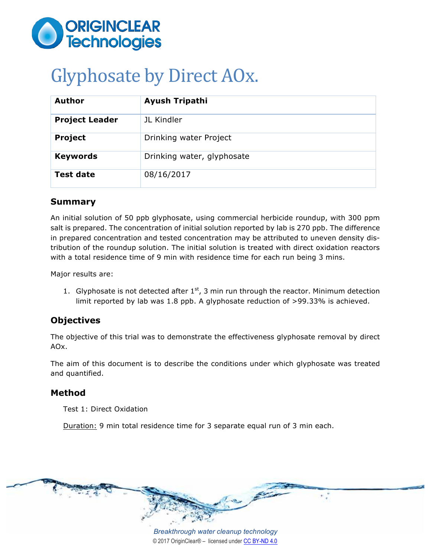

# Glyphosate by Direct AOx.

| <b>Author</b>         | <b>Ayush Tripathi</b>      |
|-----------------------|----------------------------|
| <b>Project Leader</b> | JL Kindler                 |
| <b>Project</b>        | Drinking water Project     |
| <b>Keywords</b>       | Drinking water, glyphosate |
| <b>Test date</b>      | 08/16/2017                 |

## **Summary**

An initial solution of 50 ppb glyphosate, using commercial herbicide roundup, with 300 ppm salt is prepared. The concentration of initial solution reported by lab is 270 ppb. The difference in prepared concentration and tested concentration may be attributed to uneven density distribution of the roundup solution. The initial solution is treated with direct oxidation reactors with a total residence time of 9 min with residence time for each run being 3 mins.

Major results are:

1. Glyphosate is not detected after  $1<sup>st</sup>$ , 3 min run through the reactor. Minimum detection limit reported by lab was 1.8 ppb. A glyphosate reduction of >99.33% is achieved.

# **Objectives**

The objective of this trial was to demonstrate the effectiveness glyphosate removal by direct AOx.

The aim of this document is to describe the conditions under which glyphosate was treated and quantified.

## **Method**

Test 1: Direct Oxidation

Duration: 9 min total residence time for 3 separate equal run of 3 min each.

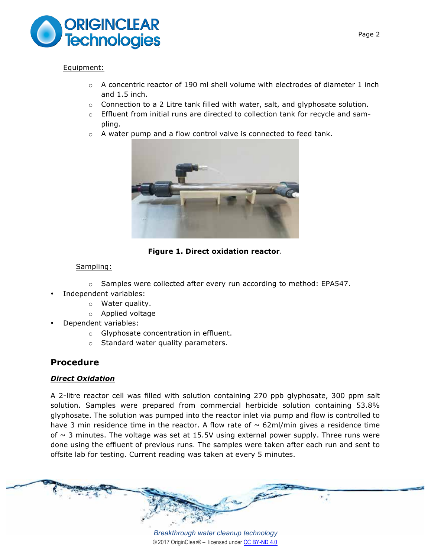

#### Equipment:

- $\circ$  A concentric reactor of 190 ml shell volume with electrodes of diameter 1 inch and 1.5 inch.
- $\circ$  Connection to a 2 Litre tank filled with water, salt, and glyphosate solution.
- $\circ$  Effluent from initial runs are directed to collection tank for recycle and sampling.
- $\circ$  A water pump and a flow control valve is connected to feed tank.



**Figure 1. Direct oxidation reactor**.

#### Sampling:

- $\circ$  Samples were collected after every run according to method: EPA547.
- Independent variables:
	- o Water quality.
	- o Applied voltage
- Dependent variables:
	- o Glyphosate concentration in effluent.
	- o Standard water quality parameters.

# **Procedure**

#### *Direct Oxidation*

A 2-litre reactor cell was filled with solution containing 270 ppb glyphosate, 300 ppm salt solution. Samples were prepared from commercial herbicide solution containing 53.8% glyphosate. The solution was pumped into the reactor inlet via pump and flow is controlled to have 3 min residence time in the reactor. A flow rate of  $\sim$  62ml/min gives a residence time of  $\sim$  3 minutes. The voltage was set at 15.5V using external power supply. Three runs were done using the effluent of previous runs. The samples were taken after each run and sent to offsite lab for testing. Current reading was taken at every 5 minutes.